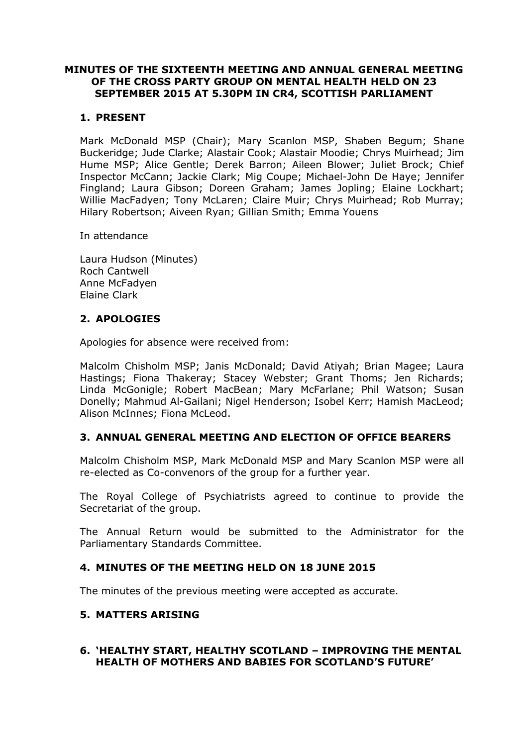## **MINUTES OF THE SIXTEENTH MEETING AND ANNUAL GENERAL MEETING OF THE CROSS PARTY GROUP ON MENTAL HEALTH HELD ON 23 SEPTEMBER 2015 AT 5.30PM IN CR4, SCOTTISH PARLIAMENT**

# **1. PRESENT**

Mark McDonald MSP (Chair); Mary Scanlon MSP, Shaben Begum; Shane Buckeridge; Jude Clarke; Alastair Cook; Alastair Moodie; Chrys Muirhead; Jim Hume MSP; Alice Gentle; Derek Barron; Aileen Blower; Juliet Brock; Chief Inspector McCann; Jackie Clark; Mig Coupe; Michael-John De Haye; Jennifer Fingland; Laura Gibson; Doreen Graham; James Jopling; Elaine Lockhart; Willie MacFadyen; Tony McLaren; Claire Muir; Chrys Muirhead; Rob Murray; Hilary Robertson; Aiveen Ryan; Gillian Smith; Emma Youens

In attendance

Laura Hudson (Minutes) Roch Cantwell Anne McFadyen Elaine Clark

# **2. APOLOGIES**

Apologies for absence were received from:

Malcolm Chisholm MSP; Janis McDonald; David Atiyah; Brian Magee; Laura Hastings; Fiona Thakeray; Stacey Webster; Grant Thoms; Jen Richards; Linda McGonigle; Robert MacBean; Mary McFarlane; Phil Watson; Susan Donelly; Mahmud Al-Gailani; Nigel Henderson; Isobel Kerr; Hamish MacLeod; Alison McInnes; Fiona McLeod.

#### **3. ANNUAL GENERAL MEETING AND ELECTION OF OFFICE BEARERS**

Malcolm Chisholm MSP, Mark McDonald MSP and Mary Scanlon MSP were all re-elected as Co-convenors of the group for a further year.

The Royal College of Psychiatrists agreed to continue to provide the Secretariat of the group.

The Annual Return would be submitted to the Administrator for the Parliamentary Standards Committee.

#### **4. MINUTES OF THE MEETING HELD ON 18 JUNE 2015**

The minutes of the previous meeting were accepted as accurate.

#### **5. MATTERS ARISING**

#### **6. 'HEALTHY START, HEALTHY SCOTLAND – IMPROVING THE MENTAL HEALTH OF MOTHERS AND BABIES FOR SCOTLAND'S FUTURE'**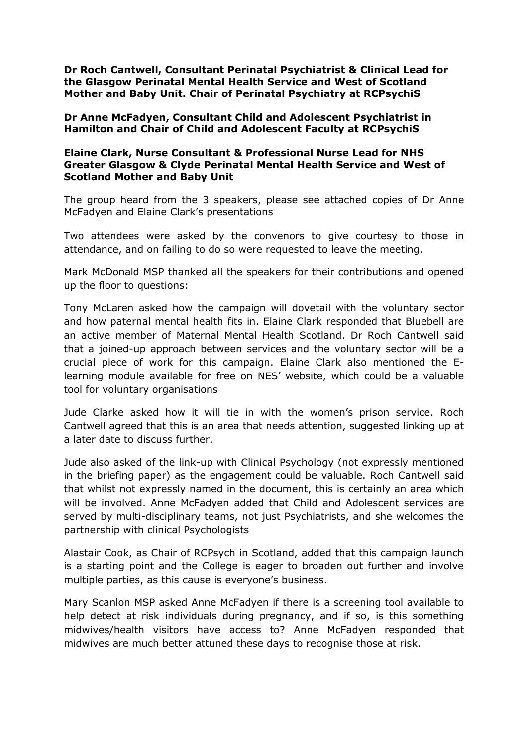**Dr Roch Cantwell, Consultant Perinatal Psychiatrist & Clinical Lead for the Glasgow Perinatal Mental Health Service and West of Scotland Mother and Baby Unit. Chair of Perinatal Psychiatry at RCPsychiS**

**Dr Anne McFadyen, Consultant Child and Adolescent Psychiatrist in Hamilton and Chair of Child and Adolescent Faculty at RCPsychiS**

### **Elaine Clark, Nurse Consultant & Professional Nurse Lead for NHS Greater Glasgow & Clyde Perinatal Mental Health Service and West of Scotland Mother and Baby Unit**

The group heard from the 3 speakers, please see attached copies of Dr Anne McFadyen and Elaine Clark's presentations

Two attendees were asked by the convenors to give courtesy to those in attendance, and on failing to do so were requested to leave the meeting.

Mark McDonald MSP thanked all the speakers for their contributions and opened up the floor to questions:

Tony McLaren asked how the campaign will dovetail with the voluntary sector and how paternal mental health fits in. Elaine Clark responded that Bluebell are an active member of Maternal Mental Health Scotland. Dr Roch Cantwell said that a joined-up approach between services and the voluntary sector will be a crucial piece of work for this campaign. Elaine Clark also mentioned the Elearning module available for free on NES' website, which could be a valuable tool for voluntary organisations

Jude Clarke asked how it will tie in with the women's prison service. Roch Cantwell agreed that this is an area that needs attention, suggested linking up at a later date to discuss further.

Jude also asked of the link-up with Clinical Psychology (not expressly mentioned in the briefing paper) as the engagement could be valuable. Roch Cantwell said that whilst not expressly named in the document, this is certainly an area which will be involved. Anne McFadyen added that Child and Adolescent services are served by multi-disciplinary teams, not just Psychiatrists, and she welcomes the partnership with clinical Psychologists

Alastair Cook, as Chair of RCPsych in Scotland, added that this campaign launch is a starting point and the College is eager to broaden out further and involve multiple parties, as this cause is everyone's business.

Mary Scanlon MSP asked Anne McFadyen if there is a screening tool available to help detect at risk individuals during pregnancy, and if so, is this something midwives/health visitors have access to? Anne McFadyen responded that midwives are much better attuned these days to recognise those at risk.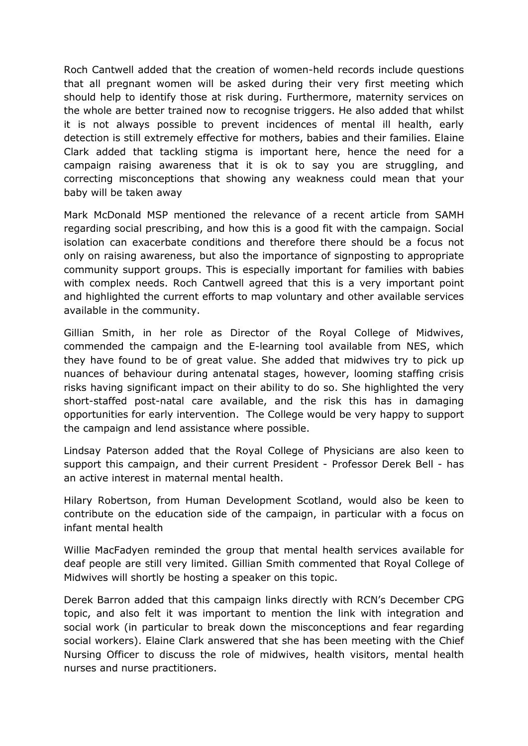Roch Cantwell added that the creation of women-held records include questions that all pregnant women will be asked during their very first meeting which should help to identify those at risk during. Furthermore, maternity services on the whole are better trained now to recognise triggers. He also added that whilst it is not always possible to prevent incidences of mental ill health, early detection is still extremely effective for mothers, babies and their families. Elaine Clark added that tackling stigma is important here, hence the need for a campaign raising awareness that it is ok to say you are struggling, and correcting misconceptions that showing any weakness could mean that your baby will be taken away

Mark McDonald MSP mentioned the relevance of a recent article from SAMH regarding social prescribing, and how this is a good fit with the campaign. Social isolation can exacerbate conditions and therefore there should be a focus not only on raising awareness, but also the importance of signposting to appropriate community support groups. This is especially important for families with babies with complex needs. Roch Cantwell agreed that this is a very important point and highlighted the current efforts to map voluntary and other available services available in the community.

Gillian Smith, in her role as Director of the Royal College of Midwives, commended the campaign and the E-learning tool available from NES, which they have found to be of great value. She added that midwives try to pick up nuances of behaviour during antenatal stages, however, looming staffing crisis risks having significant impact on their ability to do so. She highlighted the very short-staffed post-natal care available, and the risk this has in damaging opportunities for early intervention. The College would be very happy to support the campaign and lend assistance where possible.

Lindsay Paterson added that the Royal College of Physicians are also keen to support this campaign, and their current President - Professor Derek Bell - has an active interest in maternal mental health.

Hilary Robertson, from Human Development Scotland, would also be keen to contribute on the education side of the campaign, in particular with a focus on infant mental health

Willie MacFadyen reminded the group that mental health services available for deaf people are still very limited. Gillian Smith commented that Royal College of Midwives will shortly be hosting a speaker on this topic.

Derek Barron added that this campaign links directly with RCN's December CPG topic, and also felt it was important to mention the link with integration and social work (in particular to break down the misconceptions and fear regarding social workers). Elaine Clark answered that she has been meeting with the Chief Nursing Officer to discuss the role of midwives, health visitors, mental health nurses and nurse practitioners.